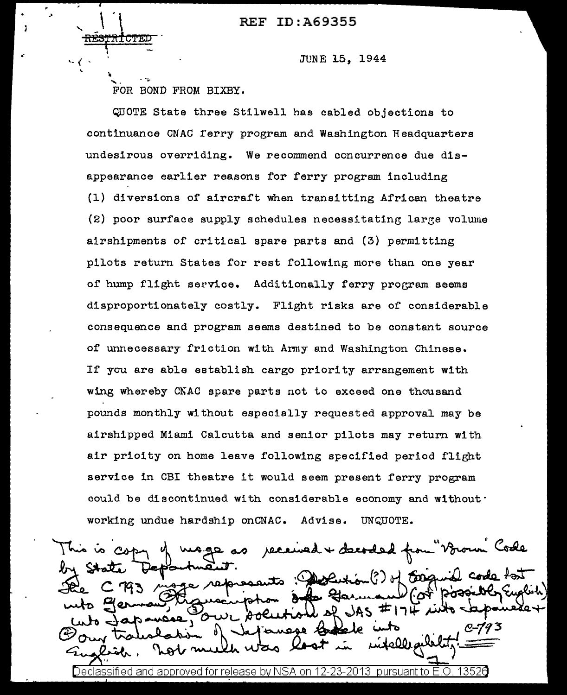REF ID:A69355

I - Andre and a structure

# JUNE 15, 1944

 $\sim$   $\sim$   $\sim$   $\sim$ FOR BOND FROM BIXBY.

QUOTE State three Stilwell has cabled objections to continuance CNAC ferry program and Washington Headquarters undesirous overriding. We recommend concurrence due disappearance earlier reasons for ferry program including (1) diversions of aircraft when transitting African theatre (2) poor surface supply schedules necessitating large volume airshipments of critical spare parts and (3) permitting pilots return States for rest following more than one year of hump flight service. Additionally ferry program seems disproportionately costly. Flight risks are of considerable consequence and program seems destined to be constant source of unnecessary friction with Anny and Washington Chinese. If you are able establish cargo priority arrangement with wing whereby CNAC spare parts not to exceed one thousand pounds monthly without especially requested approval may be airshipped Miami Calcutta and senior pilots may return with air prioity on home leave following specified period flight service in CBI theatre it would seem present ferry program could be discontinued with considerable economy and without· working undue hardship onCNAC. Advise. UNQUOTE.

age as received + decoded from "Voroum" Code represents : Descurion (?) of Essquid code fort コルス Declassified and: approved for release by NSA 12-23-2013. pursuant to E.O. 1352A on.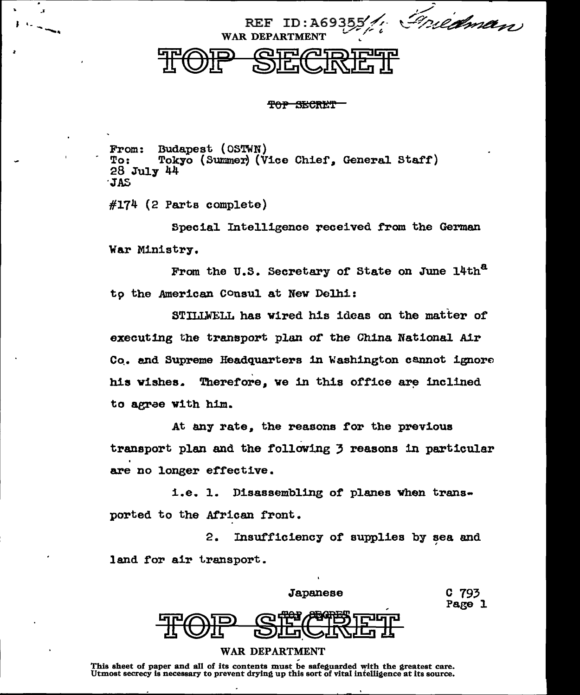Griedman **REF** WAR DEPARTME

# TOP SECRET

Budapest (OSTWN) From: Tokyo (Summer) (Vice Chief, General Staff)  $To:$ 28 July 44 **JAS** 

 $#174$  (2 Parts complete)

 $\mathbf{r}$ 

Special Intelligence received from the German War Ministry.

From the U.S. Secretary of State on June 14th<sup>a</sup> to the American Consul at New Delhi:

STILLWELL has wired his ideas on the matter of executing the transport plan of the China National Air Co. and Supreme Headquarters in Washington cannot ignore his wishes. Therefore, we in this office are inclined to agree with him.

At any rate, the reasons for the previous transport plan and the following 3 reasons in particular are no longer effective.

i.e. 1. Disassembling of planes when transported to the African front.

 $2.$ Insufficiency of supplies by sea and land for air transport.

> C 793 Page 1



### **WAR DEPARTMENT**

This sheet of paper and all of its contents must be safeguarded with the greatest care.<br>Utmost secrecy is necessary to prevent drying up this sort of vital intelligence at its source.

 $\overline{\phantom{a}}$